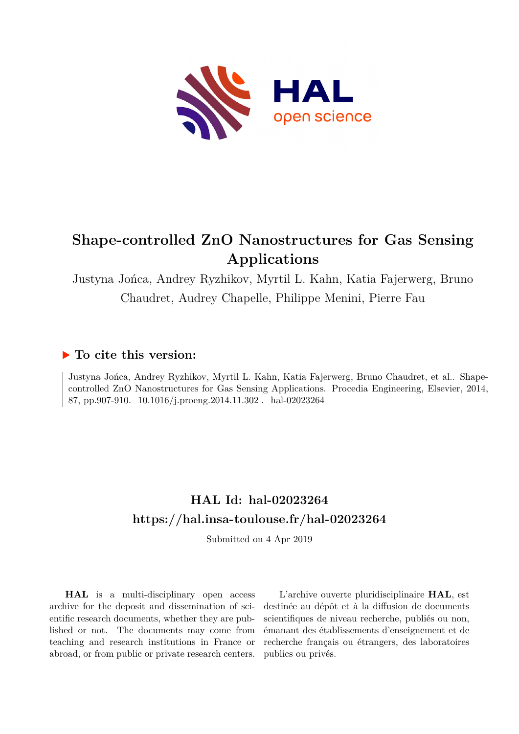

# **Shape-controlled ZnO Nanostructures for Gas Sensing Applications**

Justyna Jońca, Andrey Ryzhikov, Myrtil L. Kahn, Katia Fajerwerg, Bruno Chaudret, Audrey Chapelle, Philippe Menini, Pierre Fau

## **To cite this version:**

Justyna Jońca, Andrey Ryzhikov, Myrtil L. Kahn, Katia Fajerwerg, Bruno Chaudret, et al.. Shapecontrolled ZnO Nanostructures for Gas Sensing Applications. Procedia Engineering, Elsevier, 2014, 87, pp.907-910. 10.1016/j.proeng.2014.11.302. hal-02023264

## **HAL Id: hal-02023264 <https://hal.insa-toulouse.fr/hal-02023264>**

Submitted on 4 Apr 2019

**HAL** is a multi-disciplinary open access archive for the deposit and dissemination of scientific research documents, whether they are published or not. The documents may come from teaching and research institutions in France or abroad, or from public or private research centers.

L'archive ouverte pluridisciplinaire **HAL**, est destinée au dépôt et à la diffusion de documents scientifiques de niveau recherche, publiés ou non, émanant des établissements d'enseignement et de recherche français ou étrangers, des laboratoires publics ou privés.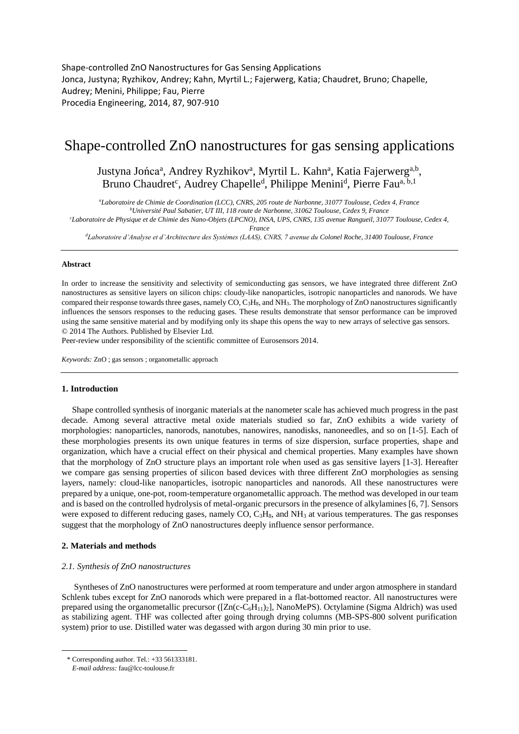Shape-controlled ZnO Nanostructures for Gas Sensing Applications Jonca, Justyna; Ryzhikov, Andrey; Kahn, Myrtil L.; Fajerwerg, Katia; Chaudret, Bruno; Chapelle, Audrey; Menini, Philippe; Fau, Pierre Procedia Engineering, 2014, 87, 907-910

## Shape-controlled ZnO nanostructures for gas sensing applications

### Justyna Jońca<sup>a</sup>, Andrey Ryzhikov<sup>a</sup>, Myrtil L. Kahn<sup>a</sup>, Katia Fajerwerg<sup>a,b</sup>, Bruno Chaudret<sup>c</sup>, Audrey Chapelle<sup>d</sup>, Philippe Menini<sup>d</sup>, Pierre Fau<sup>a, b, 1</sup>

*<sup>a</sup>Laboratoire de Chimie de Coordination (LCC), CNRS, 205 route de Narbonne, 31077 Toulouse, Cedex 4, France <sup>b</sup>Université Paul Sabatier, UT III, 118 route de Narbonne, 31062 Toulouse, Cedex 9, France*

*<sup>c</sup>Laboratoire de Physique et de Chimie des Nano-Objets (LPCNO), INSA, UPS, CNRS, 135 avenue Rangueil, 31077 Toulouse, Cedex 4,* 

*France*

*<sup>d</sup>Laboratoire d'Analyse et d'Architecture des Systèmes (LAAS), CNRS, 7 avenue du Colonel Roche, 31400 Toulouse, France*

#### **Abstract**

In order to increase the sensitivity and selectivity of semiconducting gas sensors, we have integrated three different ZnO nanostructures as sensitive layers on silicon chips: cloudy-like nanoparticles, isotropic nanoparticles and nanorods. We have compared their response towards three gases, namely  $CO$ ,  $C_3H_8$ , and  $NH_3$ . The morphology of  $ZnO$  nanostructures significantly influences the sensors responses to the reducing gases. These results demonstrate that sensor performance can be improved using the same sensitive material and by modifying only its shape this opens the way to new arrays of selective gas sensors. © 2014 The Authors. Published by Elsevier Ltd.

Peer-review under responsibility of the scientific committee of Eurosensors 2014.

*Keywords:* ZnO ; gas sensors ; organometallic approach

#### **1. Introduction**

Shape controlled synthesis of inorganic materials at the nanometer scale has achieved much progress in the past decade. Among several attractive metal oxide materials studied so far, ZnO exhibits a wide variety of morphologies: nanoparticles, nanorods, nanotubes, nanowires, nanodisks, nanoneedles, and so on [1-5]. Each of these morphologies presents its own unique features in terms of size dispersion, surface properties, shape and organization, which have a crucial effect on their physical and chemical properties. Many examples have shown that the morphology of ZnO structure plays an important role when used as gas sensitive layers [1-3]. Hereafter we compare gas sensing properties of silicon based devices with three different ZnO morphologies as sensing layers, namely: cloud-like nanoparticles, isotropic nanoparticles and nanorods. All these nanostructures were prepared by a unique, one-pot, room-temperature organometallic approach. The method was developed in our team and is based on the controlled hydrolysis of metal-organic precursors in the presence of alkylamines [6, 7]. Sensors were exposed to different reducing gases, namely CO,  $C_3H_8$ , and NH<sub>3</sub> at various temperatures. The gas responses suggest that the morphology of ZnO nanostructures deeply influence sensor performance.

#### **2. Materials and methods**

#### *2.1. Synthesis of ZnO nanostructures*

Syntheses of ZnO nanostructures were performed at room temperature and under argon atmosphere in standard Schlenk tubes except for ZnO nanorods which were prepared in a flat-bottomed reactor. All nanostructures were prepared using the organometallic precursor ([Zn(c-C6H11)2], NanoMePS). Octylamine (Sigma Aldrich) was used as stabilizing agent. THF was collected after going through drying columns (MB-SPS-800 solvent purification system) prior to use. Distilled water was degassed with argon during 30 min prior to use.

-

<sup>\*</sup> Corresponding author. Tel.: +33 561333181.

*E-mail address:* fau@lcc-toulouse.fr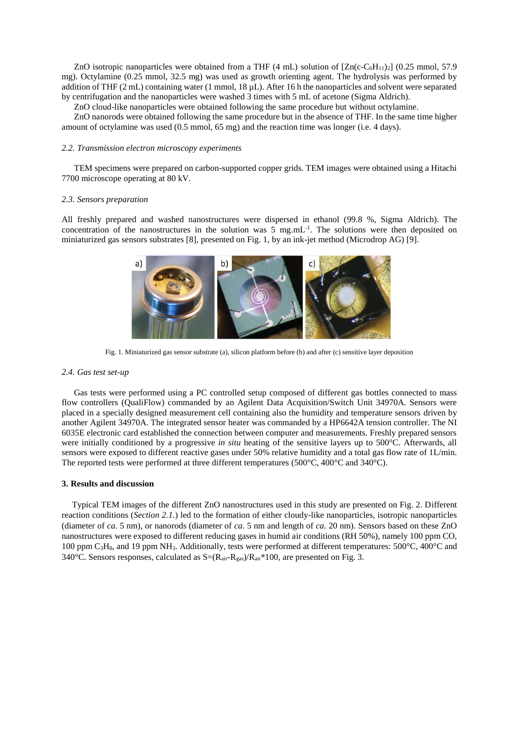ZnO isotropic nanoparticles were obtained from a THF (4 mL) solution of  $[Zn(c-C<sub>6</sub>H<sub>11</sub>)<sub>2</sub>]$  (0.25 mmol, 57.9) mg). Octylamine (0.25 mmol, 32.5 mg) was used as growth orienting agent. The hydrolysis was performed by addition of THF (2 mL) containing water (1 mmol, 18 µL). After 16 h the nanoparticles and solvent were separated by centrifugation and the nanoparticles were washed 3 times with 5 mL of acetone (Sigma Aldrich).

ZnO cloud-like nanoparticles were obtained following the same procedure but without octylamine.

ZnO nanorods were obtained following the same procedure but in the absence of THF. In the same time higher amount of octylamine was used (0.5 mmol, 65 mg) and the reaction time was longer (i.e. 4 days).

#### *2.2. Transmission electron microscopy experiments*

TEM specimens were prepared on carbon-supported copper grids. TEM images were obtained using a Hitachi 7700 microscope operating at 80 kV.

#### *2.3. Sensors preparation*

All freshly prepared and washed nanostructures were dispersed in ethanol (99.8 %, Sigma Aldrich). The concentration of the nanostructures in the solution was 5 mg.mL<sup>-1</sup>. The solutions were then deposited on miniaturized gas sensors substrates [8], presented on Fig. 1, by an ink-jet method (Microdrop AG) [9].



Fig. 1. Miniaturized gas sensor substrate (a), silicon platform before (b) and after (c) sensitive layer deposition

#### *2.4. Gas test set-up*

Gas tests were performed using a PC controlled setup composed of different gas bottles connected to mass flow controllers (QualiFlow) commanded by an Agilent Data Acquisition/Switch Unit 34970A. Sensors were placed in a specially designed measurement cell containing also the humidity and temperature sensors driven by another Agilent 34970A. The integrated sensor heater was commanded by a HP6642A tension controller. The NI 6035E electronic card established the connection between computer and measurements. Freshly prepared sensors were initially conditioned by a progressive *in situ* heating of the sensitive layers up to 500°C. Afterwards, all sensors were exposed to different reactive gases under 50% relative humidity and a total gas flow rate of 1L/min. The reported tests were performed at three different temperatures (500°C, 400°C and 340°C).

#### **3. Results and discussion**

Typical TEM images of the different ZnO nanostructures used in this study are presented on Fig. 2. Different reaction conditions (*Section 2.1.*) led to the formation of either cloudy-like nanoparticles, isotropic nanoparticles (diameter of *ca.* 5 nm), or nanorods (diameter of *ca.* 5 nm and length of *ca.* 20 nm). Sensors based on these ZnO nanostructures were exposed to different reducing gases in humid air conditions (RH 50%), namely 100 ppm CO, 100 ppm  $C_3H_8$ , and 19 ppm NH<sub>3</sub>. Additionally, tests were performed at different temperatures: 500 $\degree$ C, 400 $\degree$ C and 340°C. Sensors responses, calculated as  $S=(R_{air}-R_{gas})/R_{air}*100$ , are presented on Fig. 3.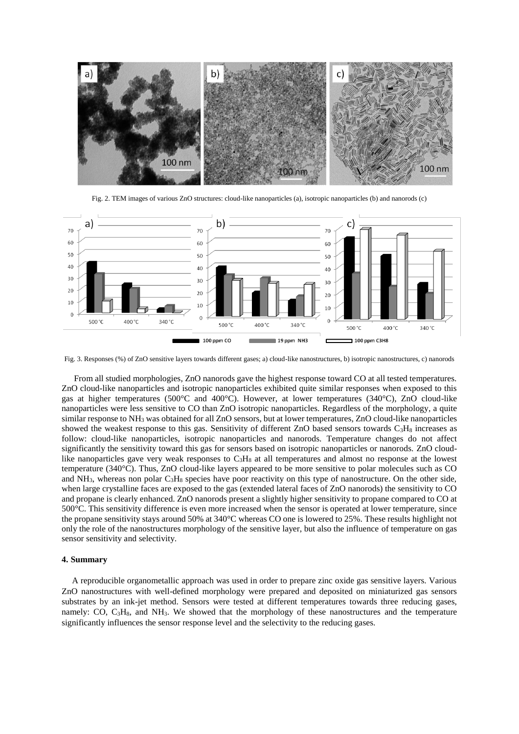

Fig. 2. TEM images of various ZnO structures: cloud-like nanoparticles (a), isotropic nanoparticles (b) and nanorods (c)



Fig. 3. Responses (%) of ZnO sensitive layers towards different gases; a) cloud-like nanostructures, b) isotropic nanostructures, c) nanorods

From all studied morphologies, ZnO nanorods gave the highest response toward CO at all tested temperatures. ZnO cloud-like nanoparticles and isotropic nanoparticles exhibited quite similar responses when exposed to this gas at higher temperatures (500°C and 400°C). However, at lower temperatures (340°C), ZnO cloud-like nanoparticles were less sensitive to CO than ZnO isotropic nanoparticles. Regardless of the morphology, a quite similar response to NH<sub>3</sub> was obtained for all ZnO sensors, but at lower temperatures, ZnO cloud-like nanoparticles showed the weakest response to this gas. Sensitivity of different ZnO based sensors towards  $C_3H_8$  increases as follow: cloud-like nanoparticles, isotropic nanoparticles and nanorods. Temperature changes do not affect significantly the sensitivity toward this gas for sensors based on isotropic nanoparticles or nanorods. ZnO cloudlike nanoparticles gave very weak responses to  $C_3H_8$  at all temperatures and almost no response at the lowest temperature (340°C). Thus, ZnO cloud-like layers appeared to be more sensitive to polar molecules such as CO and  $NH_3$ , whereas non polar  $C_3H_8$  species have poor reactivity on this type of nanostructure. On the other side, when large crystalline faces are exposed to the gas (extended lateral faces of ZnO nanorods) the sensitivity to CO and propane is clearly enhanced. ZnO nanorods present a slightly higher sensitivity to propane compared to CO at 500°C. This sensitivity difference is even more increased when the sensor is operated at lower temperature, since the propane sensitivity stays around 50% at 340°C whereas CO one is lowered to 25%. These results highlight not only the role of the nanostructures morphology of the sensitive layer, but also the influence of temperature on gas sensor sensitivity and selectivity.

#### **4. Summary**

A reproducible organometallic approach was used in order to prepare zinc oxide gas sensitive layers. Various ZnO nanostructures with well-defined morphology were prepared and deposited on miniaturized gas sensors substrates by an ink-jet method. Sensors were tested at different temperatures towards three reducing gases, namely: CO,  $C_3H_8$ , and NH<sub>3</sub>. We showed that the morphology of these nanostructures and the temperature significantly influences the sensor response level and the selectivity to the reducing gases.